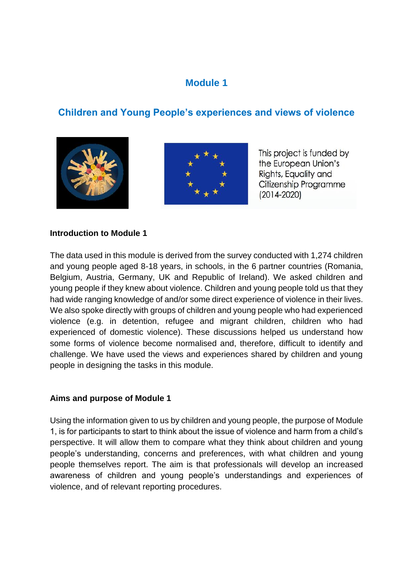## **Module 1**

# **Children and Young People's experiences and views of violence**





This project is funded by the European Union's Rights, Equality and Citizenship Programme  $(2014 - 2020)$ 

#### **Introduction to Module 1**

The data used in this module is derived from the survey conducted with 1,274 children and young people aged 8-18 years, in schools, in the 6 partner countries (Romania, Belgium, Austria, Germany, UK and Republic of Ireland). We asked children and young people if they knew about violence. Children and young people told us that they had wide ranging knowledge of and/or some direct experience of violence in their lives. We also spoke directly with groups of children and young people who had experienced violence (e.g. in detention, refugee and migrant children, children who had experienced of domestic violence). These discussions helped us understand how some forms of violence become normalised and, therefore, difficult to identify and challenge. We have used the views and experiences shared by children and young people in designing the tasks in this module.

#### **Aims and purpose of Module 1**

Using the information given to us by children and young people, the purpose of Module 1, is for participants to start to think about the issue of violence and harm from a child's perspective. It will allow them to compare what they think about children and young people's understanding, concerns and preferences, with what children and young people themselves report. The aim is that professionals will develop an increased awareness of children and young people's understandings and experiences of violence, and of relevant reporting procedures.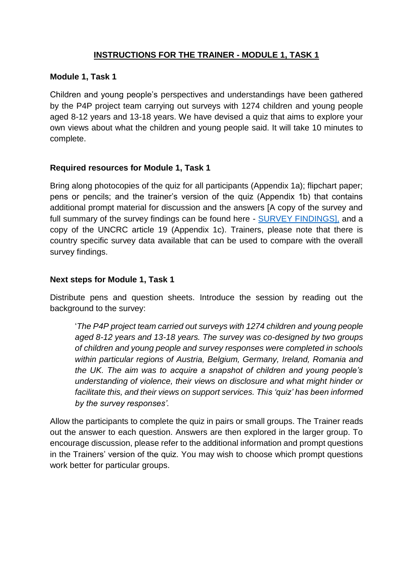## **INSTRUCTIONS FOR THE TRAINER - MODULE 1, TASK 1**

#### **Module 1, Task 1**

Children and young people's perspectives and understandings have been gathered by the P4P project team carrying out surveys with 1274 children and young people aged 8-12 years and 13-18 years. We have devised a quiz that aims to explore your own views about what the children and young people said. It will take 10 minutes to complete.

#### **Required resources for Module 1, Task 1**

Bring along photocopies of the quiz for all participants (Appendix 1a); flipchart paper; pens or pencils; and the trainer's version of the quiz (Appendix 1b) that contains additional prompt material for discussion and the answers [A copy of the survey and full summary of the survey findings can be found here - [SURVEY FINDINGS\],](https://www.dropbox.com/sh/km8dagx88494bej/AAB_KQRjhVKNyZ-xfTBfNnWaa?dl=0) and a copy of the UNCRC article 19 (Appendix 1c). Trainers, please note that there is country specific survey data available that can be used to compare with the overall survey findings.

#### **Next steps for Module 1, Task 1**

Distribute pens and question sheets. Introduce the session by reading out the background to the survey:

'*The P4P project team carried out surveys with 1274 children and young people aged 8-12 years and 13-18 years. The survey was co-designed by two groups of children and young people and survey responses were completed in schools within particular regions of Austria, Belgium, Germany, Ireland, Romania and the UK. The aim was to acquire a snapshot of children and young people's understanding of violence, their views on disclosure and what might hinder or facilitate this, and their views on support services. This 'quiz' has been informed by the survey responses'.*

Allow the participants to complete the quiz in pairs or small groups. The Trainer reads out the answer to each question. Answers are then explored in the larger group. To encourage discussion, please refer to the additional information and prompt questions in the Trainers' version of the quiz. You may wish to choose which prompt questions work better for particular groups.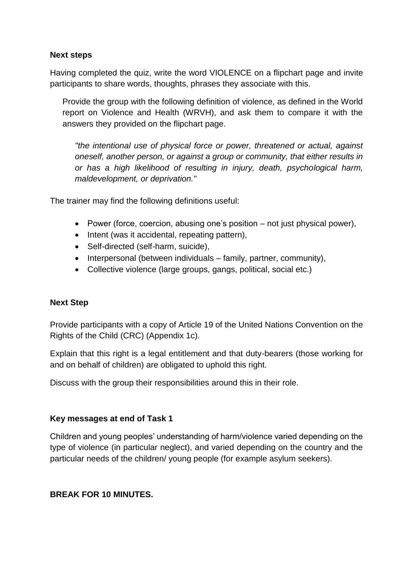#### **Next steps**

Having completed the quiz, write the word VIOLENCE on a flipchart page and invite participants to share words, thoughts, phrases they associate with this.

Provide the group with the following definition of violence, as defined in the World report on Violence and Health (WRVH), and ask them to compare it with the answers they provided on the flipchart page.

*"the intentional use of physical force or power, threatened or actual, against oneself, another person, or against a group or community, that either results in or has a high likelihood of resulting in injury, death, psychological harm, maldevelopment, or deprivation."*

The trainer may find the following definitions useful:

- Power (force, coercion, abusing one's position not just physical power),
- Intent (was it accidental, repeating pattern),
- Self-directed (self-harm, suicide),
- Interpersonal (between individuals family, partner, community),
- Collective violence (large groups, gangs, political, social etc.)

#### **Next Step**

Provide participants with a copy of Article 19 of the United Nations Convention on the Rights of the Child (CRC) (Appendix 1c).

Explain that this right is a legal entitlement and that duty-bearers (those working for and on behalf of children) are obligated to uphold this right.

Discuss with the group their responsibilities around this in their role.

#### **Key messages at end of Task 1**

Children and young peoples' understanding of harm/violence varied depending on the type of violence (in particular neglect), and varied depending on the country and the particular needs of the children/ young people (for example asylum seekers).

#### **BREAK FOR 10 MINUTES.**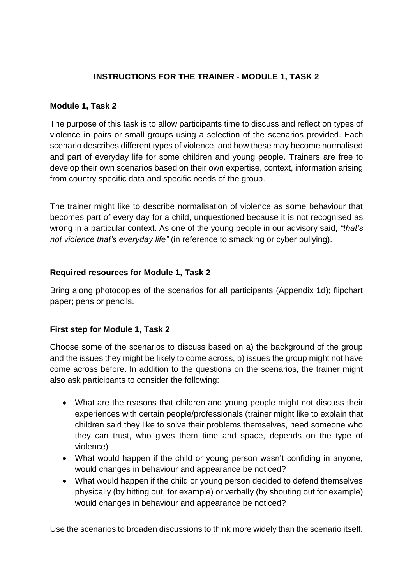## **INSTRUCTIONS FOR THE TRAINER - MODULE 1, TASK 2**

## **Module 1, Task 2**

The purpose of this task is to allow participants time to discuss and reflect on types of violence in pairs or small groups using a selection of the scenarios provided. Each scenario describes different types of violence, and how these may become normalised and part of everyday life for some children and young people. Trainers are free to develop their own scenarios based on their own expertise, context, information arising from country specific data and specific needs of the group.

The trainer might like to describe normalisation of violence as some behaviour that becomes part of every day for a child, unquestioned because it is not recognised as wrong in a particular context. As one of the young people in our advisory said, *"that's not violence that's everyday life"* (in reference to smacking or cyber bullying).

## **Required resources for Module 1, Task 2**

Bring along photocopies of the scenarios for all participants (Appendix 1d); flipchart paper; pens or pencils.

## **First step for Module 1, Task 2**

Choose some of the scenarios to discuss based on a) the background of the group and the issues they might be likely to come across, b) issues the group might not have come across before. In addition to the questions on the scenarios, the trainer might also ask participants to consider the following:

- What are the reasons that children and young people might not discuss their experiences with certain people/professionals (trainer might like to explain that children said they like to solve their problems themselves, need someone who they can trust, who gives them time and space, depends on the type of violence)
- What would happen if the child or young person wasn't confiding in anyone, would changes in behaviour and appearance be noticed?
- What would happen if the child or young person decided to defend themselves physically (by hitting out, for example) or verbally (by shouting out for example) would changes in behaviour and appearance be noticed?

Use the scenarios to broaden discussions to think more widely than the scenario itself.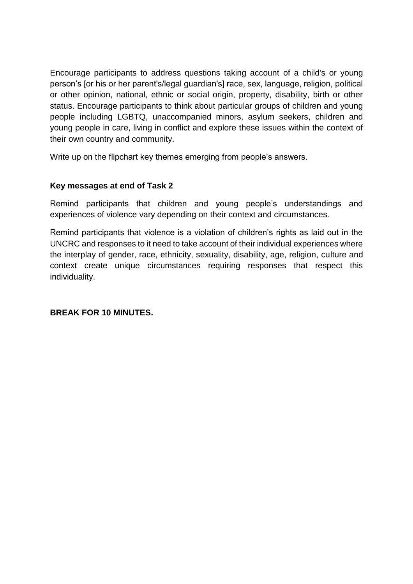Encourage participants to address questions taking account of a child's or young person's [or his or her parent's/legal guardian's] race, sex, language, religion, political or other opinion, national, ethnic or social origin, property, disability, birth or other status. Encourage participants to think about particular groups of children and young people including LGBTQ, unaccompanied minors, asylum seekers, children and young people in care, living in conflict and explore these issues within the context of their own country and community.

Write up on the flipchart key themes emerging from people's answers.

#### **Key messages at end of Task 2**

Remind participants that children and young people's understandings and experiences of violence vary depending on their context and circumstances.

Remind participants that violence is a violation of children's rights as laid out in the UNCRC and responses to it need to take account of their individual experiences where the interplay of gender, race, ethnicity, sexuality, disability, age, religion, culture and context create unique circumstances requiring responses that respect this individuality.

#### **BREAK FOR 10 MINUTES.**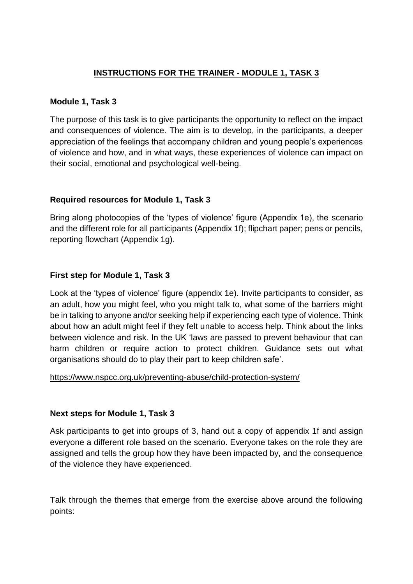## **INSTRUCTIONS FOR THE TRAINER - MODULE 1, TASK 3**

#### **Module 1, Task 3**

The purpose of this task is to give participants the opportunity to reflect on the impact and consequences of violence. The aim is to develop, in the participants, a deeper appreciation of the feelings that accompany children and young people's experiences of violence and how, and in what ways, these experiences of violence can impact on their social, emotional and psychological well-being.

#### **Required resources for Module 1, Task 3**

Bring along photocopies of the 'types of violence' figure (Appendix 1e), the scenario and the different role for all participants (Appendix 1f); flipchart paper; pens or pencils, reporting flowchart (Appendix 1g).

#### **First step for Module 1, Task 3**

Look at the 'types of violence' figure (appendix 1e). Invite participants to consider, as an adult, how you might feel, who you might talk to, what some of the barriers might be in talking to anyone and/or seeking help if experiencing each type of violence. Think about how an adult might feel if they felt unable to access help. Think about the links between violence and risk. In the UK 'laws are passed to prevent behaviour that can harm children or require action to protect children. Guidance sets out what organisations should do to play their part to keep children safe'.

#### <https://www.nspcc.org.uk/preventing-abuse/child-protection-system/>

#### **Next steps for Module 1, Task 3**

Ask participants to get into groups of 3, hand out a copy of appendix 1f and assign everyone a different role based on the scenario. Everyone takes on the role they are assigned and tells the group how they have been impacted by, and the consequence of the violence they have experienced.

Talk through the themes that emerge from the exercise above around the following points: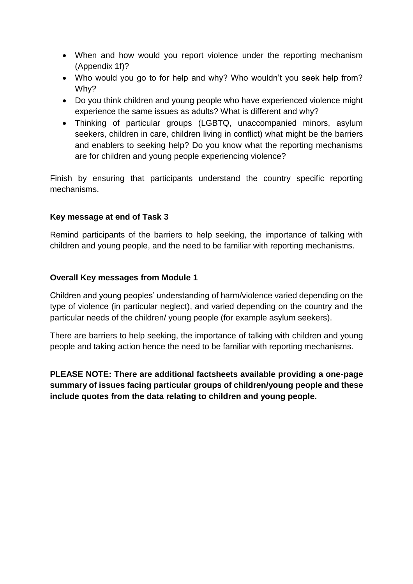- When and how would you report violence under the reporting mechanism (Appendix 1f)?
- Who would you go to for help and why? Who wouldn't you seek help from? Why?
- Do you think children and young people who have experienced violence might experience the same issues as adults? What is different and why?
- Thinking of particular groups (LGBTQ, unaccompanied minors, asylum seekers, children in care, children living in conflict) what might be the barriers and enablers to seeking help? Do you know what the reporting mechanisms are for children and young people experiencing violence?

Finish by ensuring that participants understand the country specific reporting mechanisms.

#### **Key message at end of Task 3**

Remind participants of the barriers to help seeking, the importance of talking with children and young people, and the need to be familiar with reporting mechanisms.

#### **Overall Key messages from Module 1**

Children and young peoples' understanding of harm/violence varied depending on the type of violence (in particular neglect), and varied depending on the country and the particular needs of the children/ young people (for example asylum seekers).

There are barriers to help seeking, the importance of talking with children and young people and taking action hence the need to be familiar with reporting mechanisms.

**PLEASE NOTE: There are additional factsheets available providing a one-page summary of issues facing particular groups of children/young people and these include quotes from the data relating to children and young people.**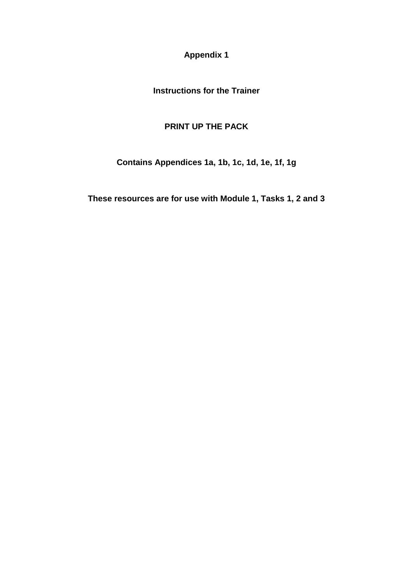**Appendix 1**

**Instructions for the Trainer**

## **PRINT UP THE PACK**

**Contains Appendices 1a, 1b, 1c, 1d, 1e, 1f, 1g**

**These resources are for use with Module 1, Tasks 1, 2 and 3**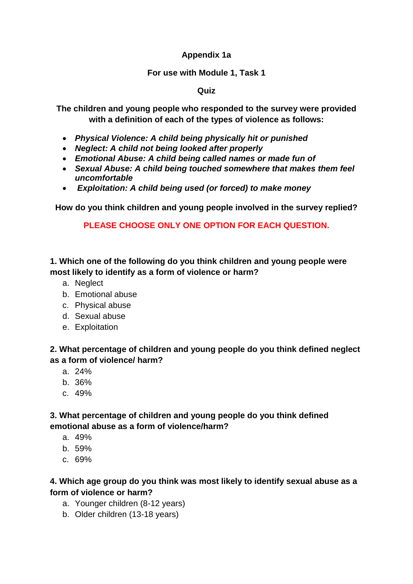## **Appendix 1a**

#### **For use with Module 1, Task 1**

#### **Quiz**

**The children and young people who responded to the survey were provided with a definition of each of the types of violence as follows:**

- *Physical Violence: A child being physically hit or punished*
- *Neglect: A child not being looked after properly*
- *Emotional Abuse: A child being called names or made fun of*
- *Sexual Abuse: A child being touched somewhere that makes them feel uncomfortable*
- *Exploitation: A child being used (or forced) to make money*

**How do you think children and young people involved in the survey replied?** 

**PLEASE CHOOSE ONLY ONE OPTION FOR EACH QUESTION.**

**1. Which one of the following do you think children and young people were most likely to identify as a form of violence or harm?**

- a. Neglect
- b. Emotional abuse
- c. Physical abuse
- d. Sexual abuse
- e. Exploitation

**2. What percentage of children and young people do you think defined neglect as a form of violence/ harm?**

- a. 24%
- b. 36%
- c. 49%

**3. What percentage of children and young people do you think defined emotional abuse as a form of violence/harm?**

- a. 49%
- b. 59%
- c. 69%

#### **4. Which age group do you think was most likely to identify sexual abuse as a form of violence or harm?**

- a. Younger children (8-12 years)
- b. Older children (13-18 years)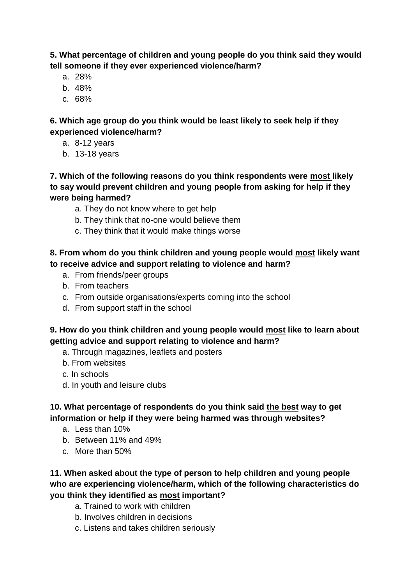**5. What percentage of children and young people do you think said they would tell someone if they ever experienced violence/harm?**

- a. 28%
- b. 48%
- c. 68%

## **6. Which age group do you think would be least likely to seek help if they experienced violence/harm?**

- a. 8-12 years
- b. 13-18 years

## **7. Which of the following reasons do you think respondents were most likely to say would prevent children and young people from asking for help if they were being harmed?**

- a. They do not know where to get help
- b. They think that no-one would believe them
- c. They think that it would make things worse

## **8. From whom do you think children and young people would most likely want to receive advice and support relating to violence and harm?**

- a. From friends/peer groups
- b. From teachers
- c. From outside organisations/experts coming into the school
- d. From support staff in the school

## **9. How do you think children and young people would most like to learn about getting advice and support relating to violence and harm?**

- a. Through magazines, leaflets and posters
- b. From websites
- c. In schools
- d. In youth and leisure clubs

## **10. What percentage of respondents do you think said the best way to get information or help if they were being harmed was through websites?**

- a. Less than 10%
- b. Between 11% and 49%
- c. More than 50%

## **11. When asked about the type of person to help children and young people who are experiencing violence/harm, which of the following characteristics do you think they identified as most important?**

- a. Trained to work with children
- b. Involves children in decisions
- c. Listens and takes children seriously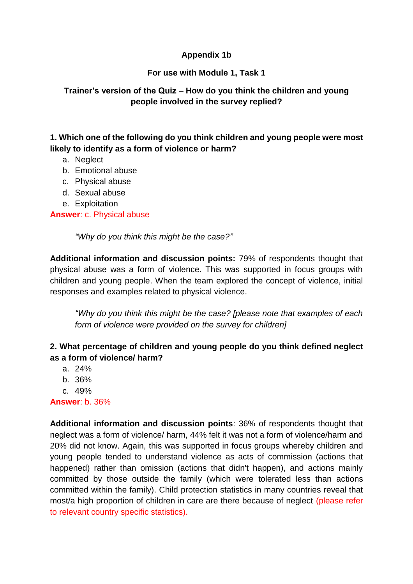## **Appendix 1b**

## **For use with Module 1, Task 1**

## **Trainer's version of the Quiz – How do you think the children and young people involved in the survey replied?**

## **1. Which one of the following do you think children and young people were most likely to identify as a form of violence or harm?**

- a. Neglect
- b. Emotional abuse
- c. Physical abuse
- d. Sexual abuse
- e. Exploitation

#### **Answer**: c. Physical abuse

*"Why do you think this might be the case?"*

**Additional information and discussion points:** 79% of respondents thought that physical abuse was a form of violence. This was supported in focus groups with children and young people. When the team explored the concept of violence, initial responses and examples related to physical violence.

*"Why do you think this might be the case? [please note that examples of each form of violence were provided on the survey for children]*

## **2. What percentage of children and young people do you think defined neglect as a form of violence/ harm?**

- a. 24%
- b. 36%
- c. 49%

**Answer**: b. 36%

**Additional information and discussion points**: 36% of respondents thought that neglect was a form of violence/ harm, 44% felt it was not a form of violence/harm and 20% did not know. Again, this was supported in focus groups whereby children and young people tended to understand violence as acts of commission (actions that happened) rather than omission (actions that didn't happen), and actions mainly committed by those outside the family (which were tolerated less than actions committed within the family). Child protection statistics in many countries reveal that most/a high proportion of children in care are there because of neglect (please refer to relevant country specific statistics).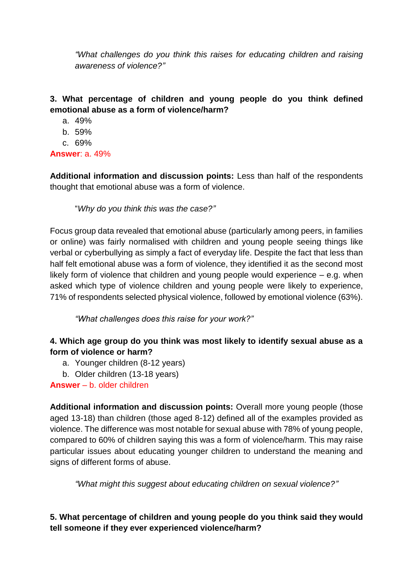*"What challenges do you think this raises for educating children and raising awareness of violence?"*

## **3. What percentage of children and young people do you think defined emotional abuse as a form of violence/harm?**

- a. 49%
- b. 59%
- c. 69%

## **Answer**: a. 49%

**Additional information and discussion points:** Less than half of the respondents thought that emotional abuse was a form of violence.

"*Why do you think this was the case?"*

Focus group data revealed that emotional abuse (particularly among peers, in families or online) was fairly normalised with children and young people seeing things like verbal or cyberbullying as simply a fact of everyday life. Despite the fact that less than half felt emotional abuse was a form of violence, they identified it as the second most likely form of violence that children and young people would experience – e.g. when asked which type of violence children and young people were likely to experience, 71% of respondents selected physical violence, followed by emotional violence (63%).

*"What challenges does this raise for your work?"*

## **4. Which age group do you think was most likely to identify sexual abuse as a form of violence or harm?**

- a. Younger children (8-12 years)
- b. Older children (13-18 years)

**Answer** – b. older children

**Additional information and discussion points:** Overall more young people (those aged 13-18) than children (those aged 8-12) defined all of the examples provided as violence. The difference was most notable for sexual abuse with 78% of young people, compared to 60% of children saying this was a form of violence/harm. This may raise particular issues about educating younger children to understand the meaning and signs of different forms of abuse.

*"What might this suggest about educating children on sexual violence?"*

**5. What percentage of children and young people do you think said they would tell someone if they ever experienced violence/harm?**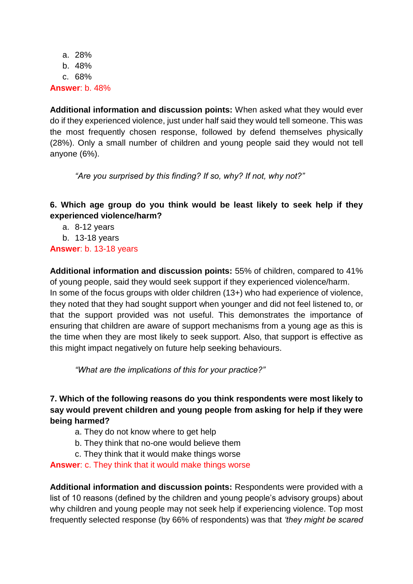a. 28% b. 48% c. 68% **Answer**: b. 48%

**Additional information and discussion points:** When asked what they would ever do if they experienced violence, just under half said they would tell someone. This was the most frequently chosen response, followed by defend themselves physically (28%). Only a small number of children and young people said they would not tell anyone (6%).

*"Are you surprised by this finding? If so, why? If not, why not?"*

## **6. Which age group do you think would be least likely to seek help if they experienced violence/harm?**

a. 8-12 years

b. 13-18 years

**Answer**: b. 13-18 years

**Additional information and discussion points:** 55% of children, compared to 41% of young people, said they would seek support if they experienced violence/harm. In some of the focus groups with older children (13+) who had experience of violence, they noted that they had sought support when younger and did not feel listened to, or that the support provided was not useful. This demonstrates the importance of ensuring that children are aware of support mechanisms from a young age as this is the time when they are most likely to seek support. Also, that support is effective as this might impact negatively on future help seeking behaviours.

*"What are the implications of this for your practice?"*

## **7. Which of the following reasons do you think respondents were most likely to say would prevent children and young people from asking for help if they were being harmed?**

- a. They do not know where to get help
- b. They think that no-one would believe them
- c. They think that it would make things worse

**Answer**: c. They think that it would make things worse

**Additional information and discussion points:** Respondents were provided with a list of 10 reasons (defined by the children and young people's advisory groups) about why children and young people may not seek help if experiencing violence. Top most frequently selected response (by 66% of respondents) was that *'they might be scared*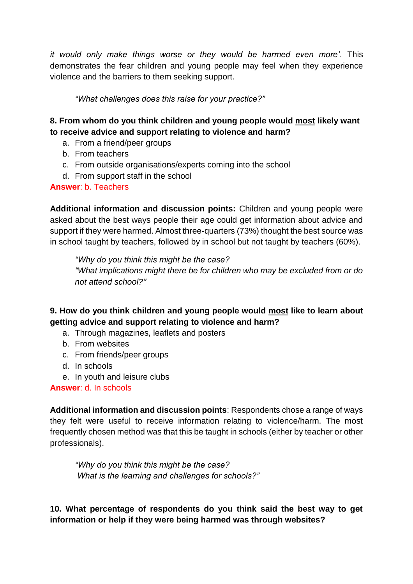*it would only make things worse or they would be harmed even more'*. This demonstrates the fear children and young people may feel when they experience violence and the barriers to them seeking support.

*"What challenges does this raise for your practice?"*

## **8. From whom do you think children and young people would most likely want to receive advice and support relating to violence and harm?**

- a. From a friend/peer groups
- b. From teachers
- c. From outside organisations/experts coming into the school
- d. From support staff in the school

## **Answer**: b. Teachers

**Additional information and discussion points:** Children and young people were asked about the best ways people their age could get information about advice and support if they were harmed. Almost three-quarters (73%) thought the best source was in school taught by teachers, followed by in school but not taught by teachers (60%).

*"Why do you think this might be the case? "What implications might there be for children who may be excluded from or do not attend school?"*

**9. How do you think children and young people would most like to learn about getting advice and support relating to violence and harm?**

- a. Through magazines, leaflets and posters
- b. From websites
- c. From friends/peer groups
- d. In schools
- e. In youth and leisure clubs

**Answer**: d. In schools

**Additional information and discussion points**: Respondents chose a range of ways they felt were useful to receive information relating to violence/harm. The most frequently chosen method was that this be taught in schools (either by teacher or other professionals).

*"Why do you think this might be the case? What is the learning and challenges for schools?"*

**10. What percentage of respondents do you think said the best way to get information or help if they were being harmed was through websites?**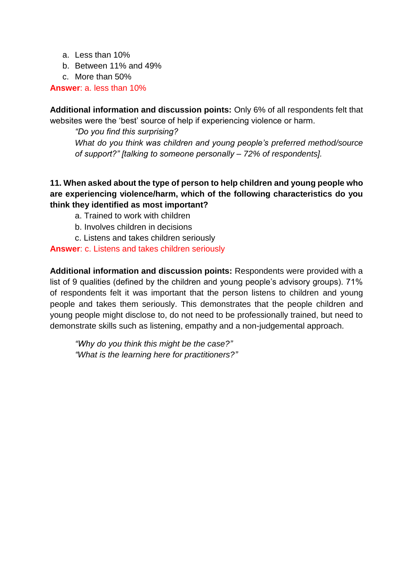- a. Less than 10%
- b. Between 11% and 49%
- c. More than 50%

**Answer**: a. less than 10%

**Additional information and discussion points:** Only 6% of all respondents felt that websites were the 'best' source of help if experiencing violence or harm.

*"Do you find this surprising? What do you think was children and young people's preferred method/source of support?" [talking to someone personally – 72% of respondents].*

## **11. When asked about the type of person to help children and young people who are experiencing violence/harm, which of the following characteristics do you think they identified as most important?**

- a. Trained to work with children
- b. Involves children in decisions
- c. Listens and takes children seriously

#### **Answer**: c. Listens and takes children seriously

**Additional information and discussion points:** Respondents were provided with a list of 9 qualities (defined by the children and young people's advisory groups). 71% of respondents felt it was important that the person listens to children and young people and takes them seriously. This demonstrates that the people children and young people might disclose to, do not need to be professionally trained, but need to demonstrate skills such as listening, empathy and a non-judgemental approach.

*"Why do you think this might be the case?" "What is the learning here for practitioners?"*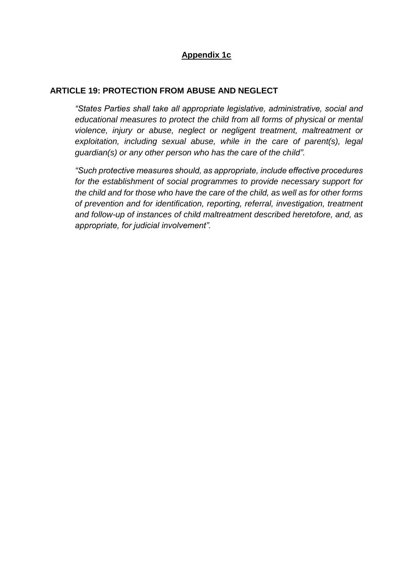## **Appendix 1c**

#### **ARTICLE 19: PROTECTION FROM ABUSE AND NEGLECT**

*"States Parties shall take all appropriate legislative, administrative, social and educational measures to protect the child from all forms of physical or mental violence, injury or abuse, neglect or negligent treatment, maltreatment or exploitation, including sexual abuse, while in the care of parent(s), legal guardian(s) or any other person who has the care of the child".*

*"Such protective measures should, as appropriate, include effective procedures for the establishment of social programmes to provide necessary support for the child and for those who have the care of the child, as well as for other forms of prevention and for identification, reporting, referral, investigation, treatment and follow-up of instances of child maltreatment described heretofore, and, as appropriate, for judicial involvement".*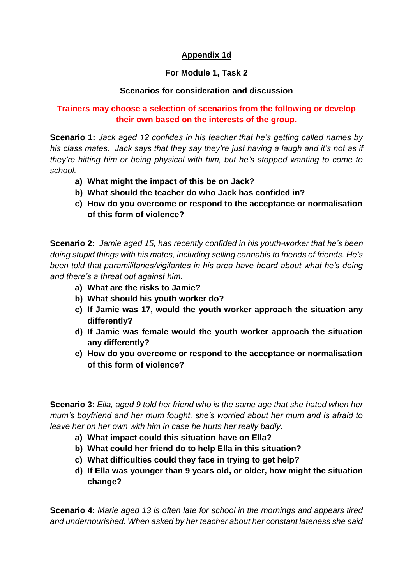## **Appendix 1d**

## **For Module 1, Task 2**

#### **Scenarios for consideration and discussion**

## **Trainers may choose a selection of scenarios from the following or develop their own based on the interests of the group.**

**Scenario 1:** *Jack aged 12 confides in his teacher that he's getting called names by his class mates. Jack says that they say they're just having a laugh and it's not as if they're hitting him or being physical with him, but he's stopped wanting to come to school.*

- **a) What might the impact of this be on Jack?**
- **b) What should the teacher do who Jack has confided in?**
- **c) How do you overcome or respond to the acceptance or normalisation of this form of violence?**

**Scenario 2:** *Jamie aged 15, has recently confided in his youth-worker that he's been doing stupid things with his mates, including selling cannabis to friends of friends. He's been told that paramilitaries/vigilantes in his area have heard about what he's doing and there's a threat out against him.* 

- **a) What are the risks to Jamie?**
- **b) What should his youth worker do?**
- **c) If Jamie was 17, would the youth worker approach the situation any differently?**
- **d) If Jamie was female would the youth worker approach the situation any differently?**
- **e) How do you overcome or respond to the acceptance or normalisation of this form of violence?**

**Scenario 3:** *Ella, aged 9 told her friend who is the same age that she hated when her mum's boyfriend and her mum fought, she's worried about her mum and is afraid to leave her on her own with him in case he hurts her really badly.* 

- **a) What impact could this situation have on Ella?**
- **b) What could her friend do to help Ella in this situation?**
- **c) What difficulties could they face in trying to get help?**
- **d) If Ella was younger than 9 years old, or older, how might the situation change?**

**Scenario 4:** *Marie aged 13 is often late for school in the mornings and appears tired and undernourished. When asked by her teacher about her constant lateness she said*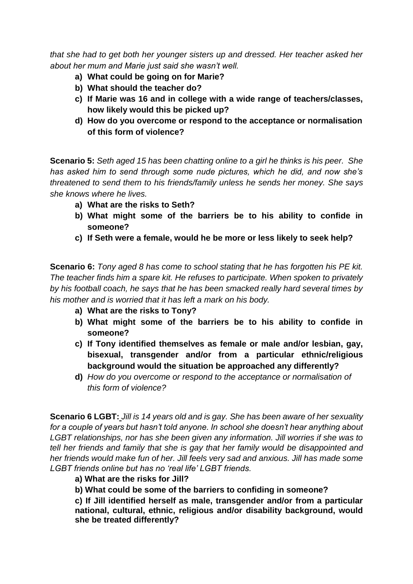*that she had to get both her younger sisters up and dressed. Her teacher asked her about her mum and Marie just said she wasn't well.*

- **a) What could be going on for Marie?**
- **b) What should the teacher do?**
- **c) If Marie was 16 and in college with a wide range of teachers/classes, how likely would this be picked up?**
- **d) How do you overcome or respond to the acceptance or normalisation of this form of violence?**

**Scenario 5:** *Seth aged 15 has been chatting online to a girl he thinks is his peer. She has asked him to send through some nude pictures, which he did, and now she's threatened to send them to his friends/family unless he sends her money. She says she knows where he lives.* 

- **a) What are the risks to Seth?**
- **b) What might some of the barriers be to his ability to confide in someone?**
- **c) If Seth were a female, would he be more or less likely to seek help?**

**Scenario 6:** *Tony aged 8 has come to school stating that he has forgotten his PE kit. The teacher finds him a spare kit. He refuses to participate. When spoken to privately by his football coach, he says that he has been smacked really hard several times by his mother and is worried that it has left a mark on his body.* 

- **a) What are the risks to Tony?**
- **b) What might some of the barriers be to his ability to confide in someone?**
- **c) If Tony identified themselves as female or male and/or lesbian, gay, bisexual, transgender and/or from a particular ethnic/religious background would the situation be approached any differently?**
- **d)** *How do you overcome or respond to the acceptance or normalisation of this form of violence?*

**Scenario 6 LGBT:** *Jill is 14 years old and is gay. She has been aware of her sexuality for a couple of years but hasn't told anyone. In school she doesn't hear anything about LGBT relationships, nor has she been given any information. Jill worries if she was to tell her friends and family that she is gay that her family would be disappointed and her friends would make fun of her. Jill feels very sad and anxious. Jill has made some LGBT friends online but has no 'real life' LGBT friends.*

- **a) What are the risks for Jill?**
- **b) What could be some of the barriers to confiding in someone?**

**c) If Jill identified herself as male, transgender and/or from a particular national, cultural, ethnic, religious and/or disability background, would she be treated differently?**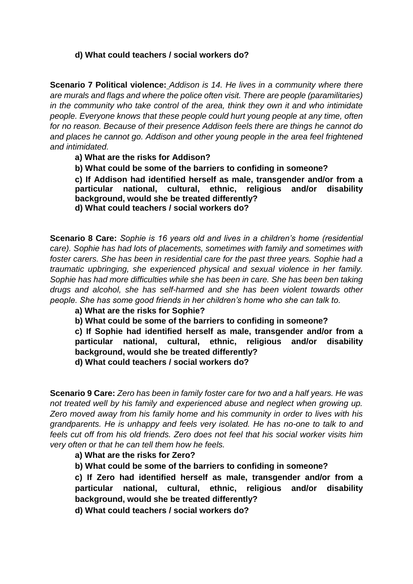#### **d) What could teachers / social workers do?**

**Scenario 7 Political violence:** *Addison is 14. He lives in a community where there are murals and flags and where the police often visit. There are people (paramilitaries) in the community who take control of the area, think they own it and who intimidate people. Everyone knows that these people could hurt young people at any time, often for no reason. Because of their presence Addison feels there are things he cannot do and places he cannot go. Addison and other young people in the area feel frightened and intimidated.*

**a) What are the risks for Addison?**

**b) What could be some of the barriers to confiding in someone?**

**c) If Addison had identified herself as male, transgender and/or from a particular national, cultural, ethnic, religious and/or disability background, would she be treated differently?**

**d) What could teachers / social workers do?**

**Scenario 8 Care:** *Sophie is 16 years old and lives in a children's home (residential care). Sophie has had lots of placements, sometimes with family and sometimes with foster carers. She has been in residential care for the past three years. Sophie had a traumatic upbringing, she experienced physical and sexual violence in her family. Sophie has had more difficulties while she has been in care. She has been ben taking drugs and alcohol, she has self-harmed and she has been violent towards other people. She has some good friends in her children's home who she can talk to.*

**a) What are the risks for Sophie?**

**b) What could be some of the barriers to confiding in someone?**

**c) If Sophie had identified herself as male, transgender and/or from a particular national, cultural, ethnic, religious and/or disability background, would she be treated differently?**

**d) What could teachers / social workers do?**

**Scenario 9 Care:** *Zero has been in family foster care for two and a half years. He was not treated well by his family and experienced abuse and neglect when growing up. Zero moved away from his family home and his community in order to lives with his grandparents. He is unhappy and feels very isolated. He has no-one to talk to and feels cut off from his old friends. Zero does not feel that his social worker visits him very often or that he can tell them how he feels.*

**a) What are the risks for Zero?**

**b) What could be some of the barriers to confiding in someone?**

**c) If Zero had identified herself as male, transgender and/or from a particular national, cultural, ethnic, religious and/or disability background, would she be treated differently?**

**d) What could teachers / social workers do?**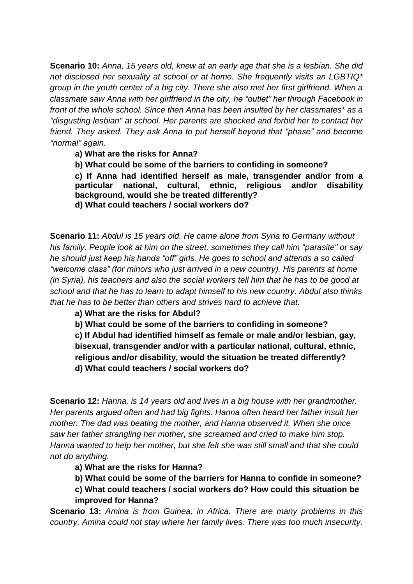**Scenario 10:** *Anna, 15 years old, knew at an early age that she is a lesbian. She did not disclosed her sexuality at school or at home. She frequently visits an LGBTIQ\* group in the youth center of a big city. There she also met her first girlfriend. When a classmate saw Anna with her girlfriend in the city, he "outlet" her through Facebook in front of the whole school. Since then Anna has been insulted by her classmates\* as a "disgusting lesbian" at school. Her parents are shocked and forbid her to contact her friend. They asked. They ask Anna to put herself beyond that "phase" and become "normal" again.*

**a) What are the risks for Anna?**

**b) What could be some of the barriers to confiding in someone?**

**c) If Anna had identified herself as male, transgender and/or from a particular national, cultural, ethnic, religious and/or disability background, would she be treated differently? d) What could teachers / social workers do?**

**Scenario 11:** *Abdul is 15 years old. He came alone from Syria to Germany without his family. People look at him on the street, sometimes they call him "parasite" or say he should just keep his hands "off" girls. He goes to school and attends a so called "welcome class" (for minors who just arrived in a new country). His parents at home (in Syria), his teachers and also the social workers tell him that he has to be good at school and that he has to learn to adapt himself to his new country. Abdul also thinks that he has to be better than others and strives hard to achieve that.*

**a) What are the risks for Abdul?**

**b) What could be some of the barriers to confiding in someone?**

**c) If Abdul had identified himself as female or male and/or lesbian, gay, bisexual, transgender and/or with a particular national, cultural, ethnic, religious and/or disability, would the situation be treated differently? d) What could teachers / social workers do?**

**Scenario 12:** *Hanna, is 14 years old and lives in a big house with her grandmother. Her parents argued often and had big fights. Hanna often heard her father insult her mother. The dad was beating the mother, and Hanna observed it. When she once saw her father strangling her mother, she screamed and cried to make him stop. Hanna wanted to help her mother, but she felt she was still small and that she could not do anything.*

**a) What are the risks for Hanna?** 

**b) What could be some of the barriers for Hanna to confide in someone?**

**c) What could teachers / social workers do? How could this situation be improved for Hanna?**

**Scenario 13:** *Amina is from Guinea, in Africa. There are many problems in this country. Amina could not stay where her family lives. There was too much insecurity.*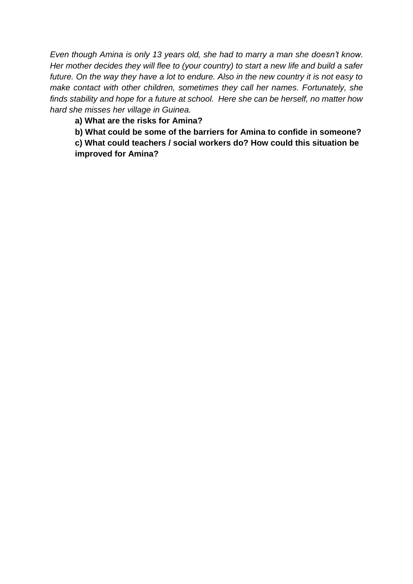*Even though Amina is only 13 years old, she had to marry a man she doesn't know. Her mother decides they will flee to (your country) to start a new life and build a safer future. On the way they have a lot to endure. Also in the new country it is not easy to make contact with other children, sometimes they call her names. Fortunately, she finds stability and hope for a future at school. Here she can be herself, no matter how hard she misses her village in Guinea.*

**a) What are the risks for Amina?** 

**b) What could be some of the barriers for Amina to confide in someone?**

**c) What could teachers / social workers do? How could this situation be improved for Amina?**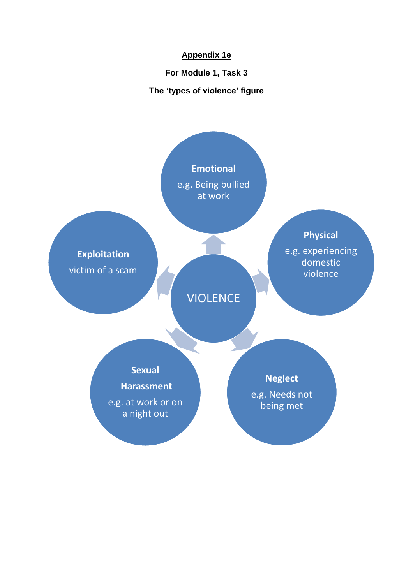### **Appendix 1e**

### **For Module 1, Task 3**

## **The 'types of violence' figure**

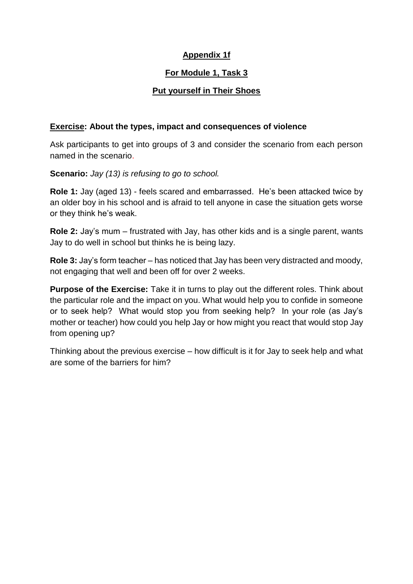## **Appendix 1f**

## **For Module 1, Task 3**

## **Put yourself in Their Shoes**

#### **Exercise: About the types, impact and consequences of violence**

Ask participants to get into groups of 3 and consider the scenario from each person named in the scenario.

**Scenario:** *Jay (13) is refusing to go to school.* 

**Role 1:** Jay (aged 13) - feels scared and embarrassed. He's been attacked twice by an older boy in his school and is afraid to tell anyone in case the situation gets worse or they think he's weak.

**Role 2:** Jay's mum – frustrated with Jay, has other kids and is a single parent, wants Jay to do well in school but thinks he is being lazy.

**Role 3:** Jay's form teacher – has noticed that Jay has been very distracted and moody, not engaging that well and been off for over 2 weeks.

**Purpose of the Exercise:** Take it in turns to play out the different roles. Think about the particular role and the impact on you. What would help you to confide in someone or to seek help? What would stop you from seeking help? In your role (as Jay's mother or teacher) how could you help Jay or how might you react that would stop Jay from opening up?

Thinking about the previous exercise – how difficult is it for Jay to seek help and what are some of the barriers for him?